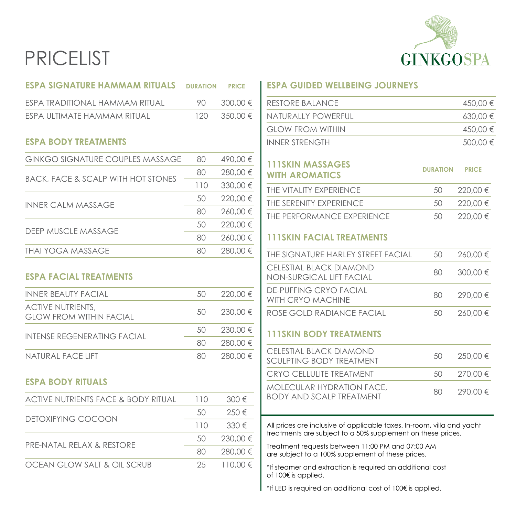# PRICELIST



| <b>ESPA SIGNATURE HAMMAM RITUALS</b>                       | <b>DURATION</b> | <b>PRICE</b> | <b>ESPA GUIDED</b>                                                                                                                                                                                                                                                                                                                                                                                                                                                                |
|------------------------------------------------------------|-----------------|--------------|-----------------------------------------------------------------------------------------------------------------------------------------------------------------------------------------------------------------------------------------------------------------------------------------------------------------------------------------------------------------------------------------------------------------------------------------------------------------------------------|
| ESPA TRADITIONAL HAMMAM RITUAL                             | 90              | 300,00 €     | <b>RESTORE BALA</b>                                                                                                                                                                                                                                                                                                                                                                                                                                                               |
| ESPA ULTIMATE HAMMAM RITUAL                                | 120             | 350,00€      | NATURALLY PO                                                                                                                                                                                                                                                                                                                                                                                                                                                                      |
|                                                            |                 |              | <b>GLOW FROM</b>                                                                                                                                                                                                                                                                                                                                                                                                                                                                  |
| <b>ESPA BODY TREATMENTS</b>                                |                 |              | <b>INNER STRENG</b>                                                                                                                                                                                                                                                                                                                                                                                                                                                               |
| <b>GINKGO SIGNATURE COUPLES MASSAGE</b>                    | 80              | 490,00€      | <b>111SKIN MAS</b>                                                                                                                                                                                                                                                                                                                                                                                                                                                                |
|                                                            | 80              | 280,00€      | <b>WITH AROMA</b>                                                                                                                                                                                                                                                                                                                                                                                                                                                                 |
| <b>BACK, FACE &amp; SCALP WITH HOT STONES</b>              | 110             | 330,00 €     | THE VITALITY EX                                                                                                                                                                                                                                                                                                                                                                                                                                                                   |
|                                                            | 50              | 220,00 €     | THE SERENITY E                                                                                                                                                                                                                                                                                                                                                                                                                                                                    |
| <b>INNER CALM MASSAGE</b>                                  | 80              | 260,00€      | THE PERFORM                                                                                                                                                                                                                                                                                                                                                                                                                                                                       |
|                                                            | 50              | 220,00 €     |                                                                                                                                                                                                                                                                                                                                                                                                                                                                                   |
| <b>DEEP MUSCLE MASSAGE</b>                                 | 80              | 260,00€      | <b>111SKIN FAC</b>                                                                                                                                                                                                                                                                                                                                                                                                                                                                |
| <b>THAI YOGA MASSAGE</b>                                   | 80              | 280,00€      | <b>THE SIGNATUR</b>                                                                                                                                                                                                                                                                                                                                                                                                                                                               |
| <b>ESPA FACIAL TREATMENTS</b>                              |                 |              | <b>CELESTIAL BLA</b><br>NON-SURGICA                                                                                                                                                                                                                                                                                                                                                                                                                                               |
| <b>INNER BEAUTY FACIAL</b>                                 | 50              | 220,00 €     | DE-PUFFING C<br>WITH CRYO M.                                                                                                                                                                                                                                                                                                                                                                                                                                                      |
| <b>ACTIVE NUTRIENTS,</b><br><b>GLOW FROM WITHIN FACIAL</b> | 50              | 230.00 €     | ROSE GOLD R.                                                                                                                                                                                                                                                                                                                                                                                                                                                                      |
| <b>INTENSE REGENERATING FACIAL</b>                         | 50              | 230,00€      | <b>111SKIN BOD</b>                                                                                                                                                                                                                                                                                                                                                                                                                                                                |
|                                                            | 80              | 280,00€      | <b>CELESTIAL BLA</b>                                                                                                                                                                                                                                                                                                                                                                                                                                                              |
| NATURAL FACE LIFT                                          | 80              | 280,00€      | <b>SCULPTING BC</b>                                                                                                                                                                                                                                                                                                                                                                                                                                                               |
|                                                            |                 |              | <b>CRYO CELLULI</b>                                                                                                                                                                                                                                                                                                                                                                                                                                                               |
| <b>ESPA BODY RITUALS</b>                                   |                 |              | <b>MOLECULAR F</b>                                                                                                                                                                                                                                                                                                                                                                                                                                                                |
| <b>ACTIVE NUTRIENTS FACE &amp; BODY RITUAL</b>             | 110             | 300€         | <b>BODY AND SC</b>                                                                                                                                                                                                                                                                                                                                                                                                                                                                |
| DETOXIFYING COCOON                                         | 50              | 250€         |                                                                                                                                                                                                                                                                                                                                                                                                                                                                                   |
|                                                            | 110             | 330€         | All prices are incl<br>treatments are su                                                                                                                                                                                                                                                                                                                                                                                                                                          |
| PRE-NATAL RELAX & RESTORE                                  | 50              | 230,00 €     |                                                                                                                                                                                                                                                                                                                                                                                                                                                                                   |
|                                                            | 80              | 280,00 €     | Treatment reque<br>are subject to a                                                                                                                                                                                                                                                                                                                                                                                                                                               |
| OCEAN GLOW SALT & OIL SCRUB                                | 25              | 110,00 €     | *If steamer and $\epsilon$<br>of 100€ is applied                                                                                                                                                                                                                                                                                                                                                                                                                                  |
|                                                            |                 |              | $*$ $\downarrow$ $\downarrow$ $\uparrow$ $\uparrow$ $\uparrow$ $\downarrow$ $\downarrow$ $\downarrow$ $\downarrow$ $\downarrow$ $\downarrow$ $\downarrow$ $\downarrow$ $\downarrow$ $\downarrow$ $\downarrow$ $\downarrow$ $\downarrow$ $\downarrow$ $\downarrow$ $\downarrow$ $\downarrow$ $\downarrow$ $\downarrow$ $\downarrow$ $\downarrow$ $\downarrow$ $\downarrow$ $\downarrow$ $\downarrow$ $\downarrow$ $\downarrow$ $\downarrow$ $\downarrow$ $\downarrow$ $\downarrow$ |

#### **EXPAING JOURNEYS**

| RESTORE BALANCE         | 450.00 €     |
|-------------------------|--------------|
| NATURALLY POWERFUL      | $630.00 \in$ |
| <b>GLOW FROM WITHIN</b> | 450.00 €     |
| <b>INNER STRENGTH</b>   | $500,00 \in$ |

### **SSAGES<br>ATICS WITH AROMATICS DURATION PRICE**

| THE VITALITY EXPERIENCE    | 50. | 220.00 € |
|----------------------------|-----|----------|
| THE SERENITY EXPERIENCE    | 50. | 220.00 € |
| THE PERFORMANCE EXPERIENCE | 50  | 220.00 € |

### **IAL TREATMENTS**

| THE SIGNATURE HARI EY STREET FACIAL                   | 50 | 260.00 € |
|-------------------------------------------------------|----|----------|
| CELESTIAL BLACK DIAMOND<br>NON-SURGICAL LIFT FACIAL   | 80 | 300.00€  |
| <b>DE-PUFFING CRYO FACIAL</b><br>WITH CRYO MACHINF    | 80 | 290.00€  |
| ROSE GOLD RADIANCE FACIAL                             | 50 | 260.00 € |
| <b>111SKIN BODY TREATMENTS</b>                        |    |          |
| CELESTIAL BLACK DIAMOND<br>SCUI PTING BODY TRFATMENT  | 50 | 250.00 € |
| CRYO CELLULITE TREATMENT                              | 50 | 270.00 € |
| MOLECULAR HYDRATION FACE,<br>BODY AND SCALP TREATMENT | 80 | 290.00 € |
|                                                       |    |          |

tlusive of applicable taxes. In-room, villa and yacht treatments are subject to a 50% supplement on these prices.

ests between 11:00 PM and 07:00 AM 100% supplement of these prices.

extraction is required an additional cost of 100€ is applied.

\*If LED is required an additional cost of 100€ is applied.